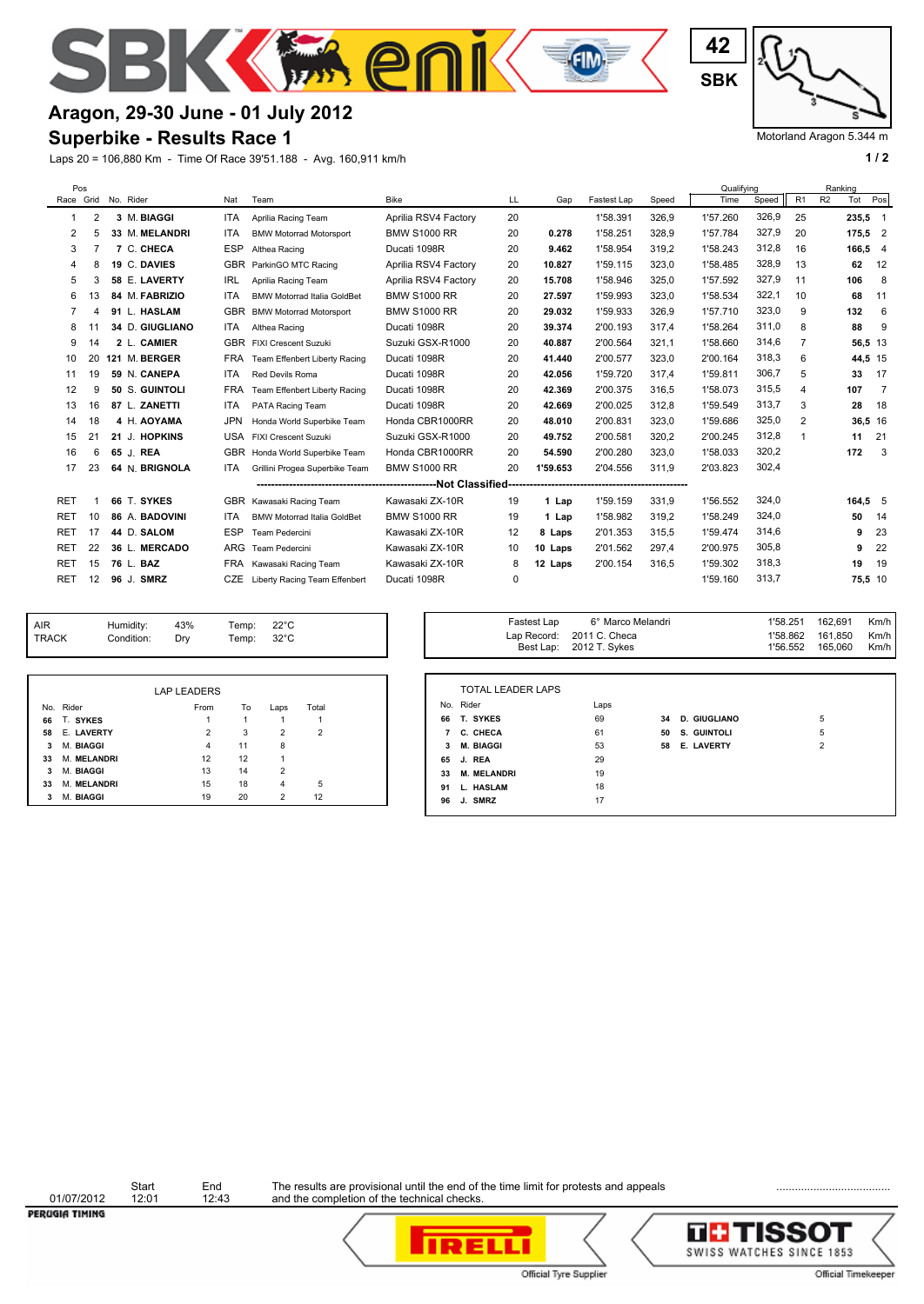

# **Aragon, 29-30 June - 01 July 2012**

#### **Superbike - Results Race 1**

Laps 20 = 106,880 Km - Time Of Race 39'51.188 - Avg. 160,911 km/h **1 and 1 and 1 and 1 and 1 a** 1 a

**SBK 42**

Motorland Aragon 5.344 m

|            | Pos |                     |            |                                    |                      |             |          |             |       | Qualifying |       |                | Ranking        |           |                |
|------------|-----|---------------------|------------|------------------------------------|----------------------|-------------|----------|-------------|-------|------------|-------|----------------|----------------|-----------|----------------|
|            |     | Race Grid No. Rider | Nat        | Team                               | <b>Bike</b>          | LL          | Gap      | Fastest Lap | Speed | Time       | Speed | R <sub>1</sub> | R <sub>2</sub> | Tot       | Pos            |
| 1          | 2   | 3 M. BIAGGI         | ITA        | Aprilia Racing Team                | Aprilia RSV4 Factory | 20          |          | 1'58.391    | 326,9 | 1'57.260   | 326,9 | 25             |                | $235.5$ 1 |                |
| 2          | 5   | 33 M. MELANDRI      | <b>ITA</b> | <b>BMW Motorrad Motorsport</b>     | <b>BMW S1000 RR</b>  | 20          | 0.278    | 1'58.251    | 328,9 | 1'57.784   | 327,9 | 20             |                | $175,5$ 2 |                |
| 3          |     | 7 C. CHECA          | <b>ESP</b> | Althea Racing                      | Ducati 1098R         | 20          | 9.462    | 1'58.954    | 319,2 | 1'58.243   | 312,8 | 16             |                | 166,5 4   |                |
| 4          | 8   | 19 C. DAVIES        | <b>GBR</b> | ParkinGO MTC Racing                | Aprilia RSV4 Factory | 20          | 10.827   | 1'59.115    | 323.0 | 1'58.485   | 328,9 | 13             |                | 62        | 12             |
| 5          | 3   | 58 E. LAVERTY       | <b>IRL</b> | Aprilia Racing Team                | Aprilia RSV4 Factory | 20          | 15.708   | 1'58.946    | 325.0 | 1'57.592   | 327,9 | 11             |                | 106       | 8              |
| 6          | 3   | 84 M. FABRIZIO      | <b>ITA</b> | <b>BMW Motorrad Italia GoldBet</b> | <b>BMW S1000 RR</b>  | 20          | 27.597   | 1'59.993    | 323.0 | 1'58.534   | 322,1 | 10             |                | 68        | 11             |
|            | Δ   | 91 L. HASLAM        | <b>GBR</b> | <b>BMW Motorrad Motorsport</b>     | <b>BMW S1000 RR</b>  | 20          | 29.032   | 1'59.933    | 326.9 | 1'57.710   | 323,0 | 9              |                | 132       | 6              |
| 8          |     | 34 D. GIUGLIANO     | <b>ITA</b> | Althea Racing                      | Ducati 1098R         | 20          | 39.374   | 2'00.193    | 317.4 | 1'58.264   | 311,0 | 8              |                | 88        | 9              |
| 9          | 14  | 2 L. CAMIER         | <b>GBR</b> | <b>FIXI Crescent Suzuki</b>        | Suzuki GSX-R1000     | 20          | 40.887   | 2'00.564    | 321,1 | 1'58.660   | 314,6 | 7              |                | 56,5 13   |                |
| 10         | 20  | 121 M. BERGER       | <b>FRA</b> | Team Effenbert Liberty Racing      | Ducati 1098R         | 20          | 41.440   | 2'00.577    | 323,0 | 2'00.164   | 318,3 | 6              |                | 44,5 15   |                |
| 11         | 19  | 59 N. CANEPA        | <b>ITA</b> | Red Devils Roma                    | Ducati 1098R         | 20          | 42.056   | 1'59.720    | 317.4 | 1'59.811   | 306,7 | 5              |                | 33        | 17             |
| 12         | 9   | 50 S. GUINTOLI      | <b>FRA</b> | Team Effenbert Liberty Racing      | Ducati 1098R         | 20          | 42.369   | 2'00.375    | 316,5 | 1'58.073   | 315,5 | 4              |                | 107       | $\overline{7}$ |
| 13         | 16  | 87 L. ZANETTI       | ITA        | PATA Racing Team                   | Ducati 1098R         | 20          | 42.669   | 2'00.025    | 312,8 | 1'59.549   | 313,7 | 3              |                | 28        | 18             |
| 14         | 18  | 4 H. AOYAMA         | <b>JPN</b> | Honda World Superbike Team         | Honda CBR1000RR      | 20          | 48.010   | 2'00.831    | 323,0 | 1'59.686   | 325,0 | 2              |                | 36,5 16   |                |
| 15         | 21  | 21 J. HOPKINS       | USA        | <b>FIXI Crescent Suzuki</b>        | Suzuki GSX-R1000     | 20          | 49.752   | 2'00.581    | 320,2 | 2'00.245   | 312,8 |                |                | 11        | 21             |
| 16         | 6   | 65 J. REA           | <b>GBR</b> | Honda World Superbike Team         | Honda CBR1000RR      | 20          | 54.590   | 2'00.280    | 323,0 | 1'58.033   | 320,2 |                |                | 172       | 3              |
| 17         | 23  | 64 N. BRIGNOLA      | <b>ITA</b> | Grillini Progea Superbike Team     | <b>BMW S1000 RR</b>  | 20          | 1'59.653 | 2'04.556    | 311.9 | 2'03.823   | 302,4 |                |                |           |                |
|            |     |                     |            |                                    |                      |             |          |             |       |            |       |                |                |           |                |
| <b>RET</b> |     | 66 T. SYKES         | <b>GBR</b> | Kawasaki Racing Team               | Kawasaki ZX-10R      | 19          | 1 Lap    | 1'59.159    | 331,9 | 1'56.552   | 324,0 |                |                | 164,55    |                |
| <b>RET</b> | 10  | 86 A. BADOVINI      | <b>ITA</b> | <b>BMW Motorrad Italia GoldBet</b> | <b>BMW S1000 RR</b>  | 19          | 1 Lap    | 1'58.982    | 319.2 | 1'58.249   | 324,0 |                |                | 50        | 14             |
| <b>RET</b> | 17  | 44 D. SALOM         | <b>ESP</b> | Team Pedercini                     | Kawasaki ZX-10R      | 12          | 8 Laps   | 2'01.353    | 315,5 | 1'59.474   | 314,6 |                |                | 9         | 23             |
| <b>RET</b> | 22  | 36 L. MERCADO       | ARG        | <b>Team Pedercini</b>              | Kawasaki ZX-10R      | 10          | 10 Laps  | 2'01.562    | 297.4 | 2'00.975   | 305,8 |                |                | 9         | 22             |
| <b>RET</b> | 15  | 76 L. BAZ           | <b>FRA</b> | Kawasaki Racing Team               | Kawasaki ZX-10R      | 8           | 12 Laps  | 2'00.154    | 316.5 | 1'59.302   | 318,3 |                |                | 19        | 19             |
| RET        | 12  | 96 J. SMRZ          | CZE        | Liberty Racing Team Effenbert      | Ducati 1098R         | $\mathbf 0$ |          |             |       | 1'59.160   | 313.7 |                |                | 75,5 10   |                |
|            |     |                     |            |                                    |                      |             |          |             |       |            |       |                |                |           |                |

| <b>AIR</b><br>TRACK | Humidity:<br>Condition: | 43%<br>Drv          | Temp:<br>Temp: | $22^{\circ}$ C<br>$32^{\circ}$ C |           | Fastest Lab       | o Marco Melandri<br>Lap Record: 2011 C. Checa<br>Best Lap: 2012 T. Sykes | I 58.Z51<br>1'58.862<br>1'56.552 | 102,091<br>161,850<br>165,060 |
|---------------------|-------------------------|---------------------|----------------|----------------------------------|-----------|-------------------|--------------------------------------------------------------------------|----------------------------------|-------------------------------|
|                     |                         |                     |                |                                  |           |                   |                                                                          |                                  |                               |
| No Didor            |                         | LAP LEADERS<br>Erom | ⊤≙             | T <sub>ofol</sub><br>1.222       | No. Rider | TOTAL LEADER LAPS | Laps                                                                     |                                  |                               |

|    | Fastest Lap<br>Best Lap: | 6° Marco Melandri<br>Lap Record: 2011 C. Checa<br>2012 T. Sykes |    |                     | 1'58.251<br>1'58.862<br>1'56.552 | 162,691<br>161.850<br>165,060 | Km/h<br>Km/h<br>Km/h |
|----|--------------------------|-----------------------------------------------------------------|----|---------------------|----------------------------------|-------------------------------|----------------------|
|    |                          |                                                                 |    |                     |                                  |                               |                      |
|    | <b>TOTAL LEADER LAPS</b> |                                                                 |    |                     |                                  |                               |                      |
|    | No. Rider                | Laps                                                            |    |                     |                                  |                               |                      |
| 66 | T. SYKES                 | 69                                                              | 34 | <b>D. GIUGLIANO</b> |                                  | 5                             |                      |
| 7  | C. CHECA                 | 61                                                              | 50 | S. GUINTOLI         |                                  | 5                             |                      |
| 3  | <b>M. BIAGGI</b>         | 53                                                              | 58 | <b>E. LAVERTY</b>   |                                  | $\overline{2}$                |                      |
| 65 | J. REA                   | 29                                                              |    |                     |                                  |                               |                      |
| 33 | <b>M. MELANDRI</b>       | 19                                                              |    |                     |                                  |                               |                      |
| 91 | L. HASLAM                | 18                                                              |    |                     |                                  |                               |                      |
| 96 | J. SMRZ                  | 17                                                              |    |                     |                                  |                               |                      |

No. Rider **From** To Laps Total T. SYKES 1 1 1 1 1<br> **58** E. LAVERTY 2 3 2 2<br> **3** M. MELANDRI 4 11 8<br> **33** M. MELANDRI 12 12 1<br> **33** M. MELANDRI 15 18 4 5 E. LAVERTY<br> **3** M. BIAGGI<br> **33** M. MELANDRI<br> **58** M. BIAGGI<br> **52** 4<br> **52** 12<br> **54** 2<br> **54** 2<br> **54** 2<br> **54** 2<br> **54** 4<br> **55** 4<br> **54** 4<br> **55** 4<br> **54** 4<br> **54** 5 M. **BIAGGI** 4 11 8 M. **MELANDRI** 12 12 12 M. **BIAGGI 13** 14 2<br>**33** M. MELANDRI 15 18 4 M. **MELANDRI** 15 18 4 5<br>**3** M. BIAGGI 19 20 2 12 M. **BIAGGI** 

> Start End The results are provisional until the end of the time limit for protests and appeals **Endingle Community** and the completion of the technical checks.





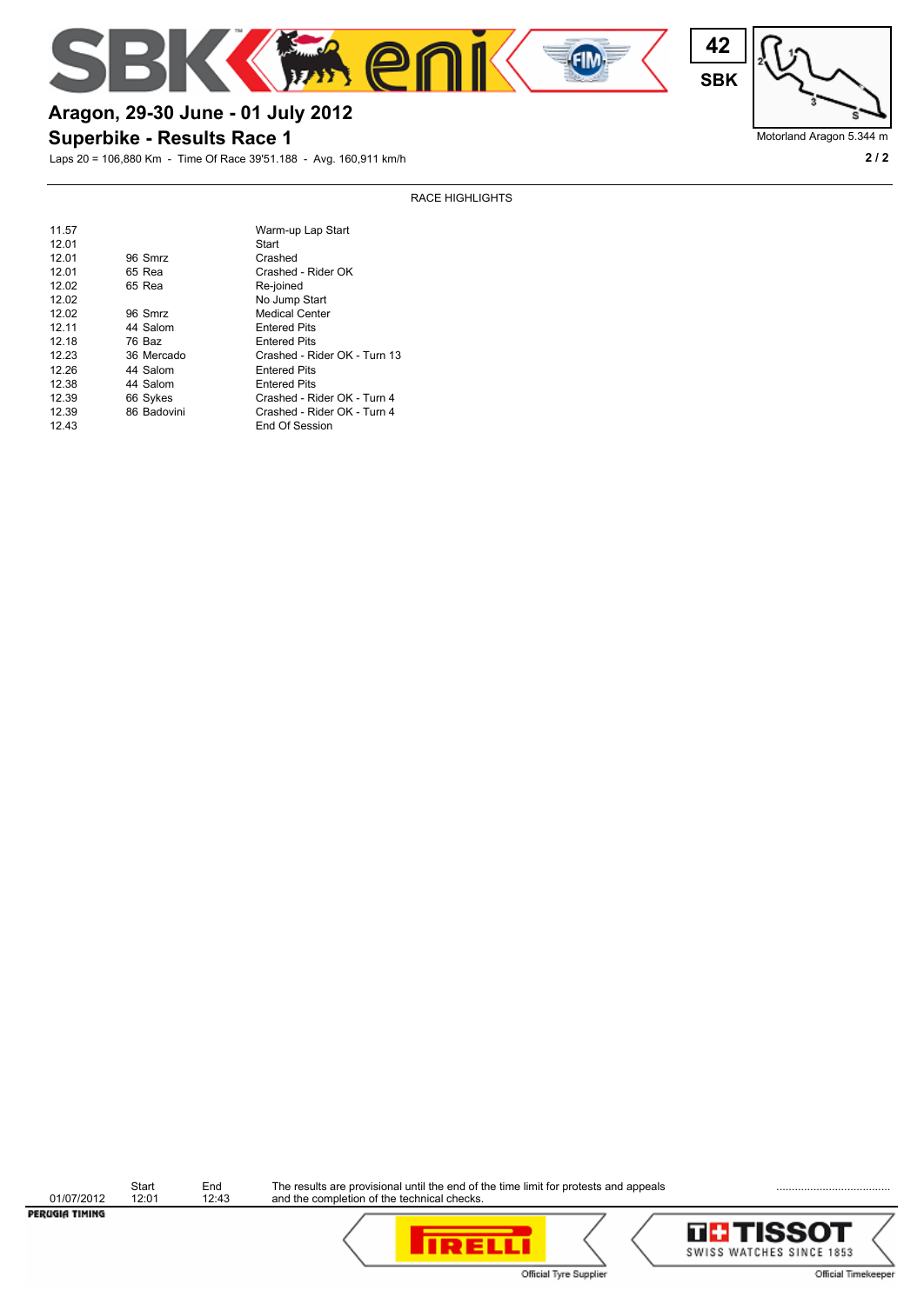



### Motorland Aragon 5.344 m

# **Superbike - Results Race 1 Aragon, 29-30 June - 01 July 2012**

Laps 20 = 106,880 Km - Time Of Race 39'51.188 - Avg. 160,911 km/h **2 / 2**

RACE HIGHLIGHTS

| 11.57 |             | Warm-up Lap Start            |
|-------|-------------|------------------------------|
| 12.01 |             | Start                        |
| 12.01 | 96 Smrz     | Crashed                      |
| 12.01 | 65 Rea      | Crashed - Rider OK           |
| 12.02 | 65 Rea      | Re-joined                    |
| 12.02 |             | No Jump Start                |
| 12.02 | 96 Smrz     | <b>Medical Center</b>        |
| 12.11 | 44 Salom    | <b>Entered Pits</b>          |
| 12.18 | 76 Baz      | <b>Entered Pits</b>          |
| 12.23 | 36 Mercado  | Crashed - Rider OK - Turn 13 |
| 12.26 | 44 Salom    | <b>Entered Pits</b>          |
| 12.38 | 44 Salom    | <b>Entered Pits</b>          |
| 12.39 | 66 Sykes    | Crashed - Rider OK - Turn 4  |
| 12.39 | 86 Badovini | Crashed - Rider OK - Turn 4  |
| 12.43 |             | End Of Session               |
|       |             |                              |

Start End<br>
01/07/2012 12:01 12:43<br> **PER/LGIATIMING** 

Start End The results are provisional until the end of the time limit for protests and appeals **Endingle Community** and the completion of the technical checks.



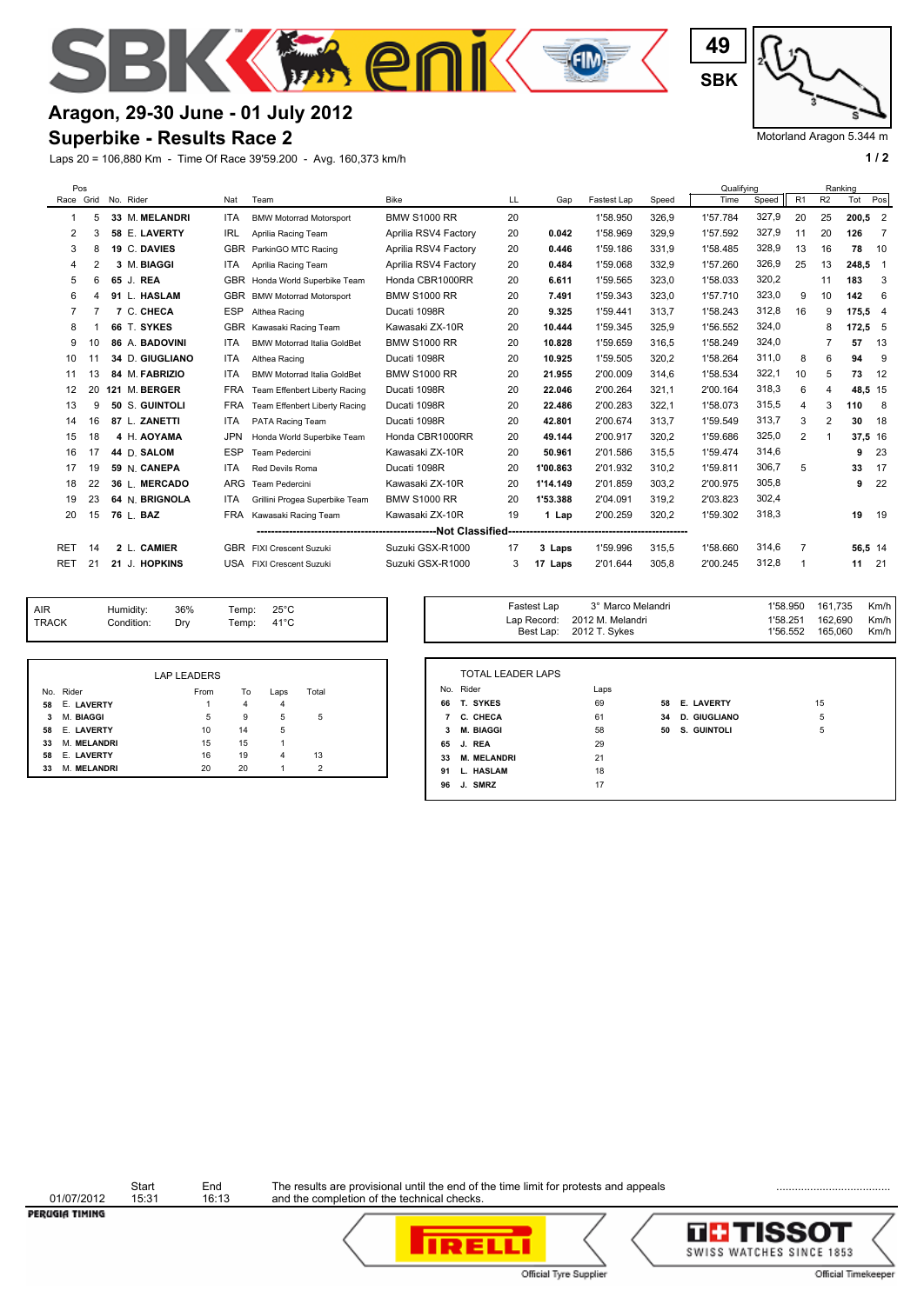

# **Aragon, 29-30 June - 01 July 2012**

#### **Superbike - Results Race 2**

Laps 20 = 106,880 Km - Time Of Race 39'59.200 - Avg. 160,373 km/h **1 / 2 1 / 2** 

**SBK 49**

Motorland Aragon 5.344 m

Km/h Km/h

| Pos        |                |                 |            |                                    |                      |    |          |             |       | Qualifving |            |    |                | Ranking   |                         |
|------------|----------------|-----------------|------------|------------------------------------|----------------------|----|----------|-------------|-------|------------|------------|----|----------------|-----------|-------------------------|
| Race Grid  |                | No. Rider       | Nat        | Team                               | <b>Bike</b>          | LL | Gap      | Fastest Lap | Speed | Time       | Speed   R1 |    | R <sub>2</sub> | Tot       | Pos                     |
|            | 5              | 33 M. MELANDRI  | <b>ITA</b> | <b>BMW Motorrad Motorsport</b>     | <b>BMW S1000 RR</b>  | 20 |          | 1'58.950    | 326.9 | 1'57.784   | 327,9      | 20 | 25             | $200.5$ 2 |                         |
| 2          | 3              | 58 E. LAVERTY   | IRL        | Aprilia Racing Team                | Aprilia RSV4 Factory | 20 | 0.042    | 1'58.969    | 329,9 | 1'57.592   | 327,9      | 11 | 20             | 126       | $\overline{7}$          |
| 3          | 8              | 19 C. DAVIES    | <b>GBR</b> | ParkinGO MTC Racing                | Aprilia RSV4 Factory | 20 | 0.446    | 1'59.186    | 331.9 | 1'58.485   | 328,9      | 13 | 16             | 78        | 10                      |
| 4          | $\overline{2}$ | 3 M. BIAGGI     | <b>ITA</b> | Aprilia Racing Team                | Aprilia RSV4 Factory | 20 | 0.484    | 1'59.068    | 332.9 | 1'57.260   | 326,9      | 25 | 13             | 248.5     | $\overline{\mathbf{1}}$ |
| 5          | 6              | 65 J. REA       | <b>GBR</b> | Honda World Superbike Team         | Honda CBR1000RR      | 20 | 6.611    | 1'59.565    | 323,0 | 1'58.033   | 320,2      |    | 11             | 183       | 3                       |
| 6          | Δ              | 91 L. HASLAM    | <b>GBR</b> | <b>BMW Motorrad Motorsport</b>     | <b>BMW S1000 RR</b>  | 20 | 7.491    | 1'59.343    | 323,0 | 1'57.710   | 323,0      | 9  | 10             | 142       | 6                       |
| 7          |                | 7 C. CHECA      | <b>ESP</b> | Althea Racing                      | Ducati 1098R         | 20 | 9.325    | 1'59.441    | 313.7 | 1'58.243   | 312,8      | 16 | 9              | 175.5 4   |                         |
| 8          |                | 66 T. SYKES     | <b>GBR</b> | Kawasaki Racing Team               | Kawasaki ZX-10R      | 20 | 10.444   | 1'59.345    | 325,9 | 1'56.552   | 324.0      |    | 8              | 172,55    |                         |
| 9          | 10             | 86 A. BADOVINI  | <b>ITA</b> | <b>BMW Motorrad Italia GoldBet</b> | <b>BMW S1000 RR</b>  | 20 | 10.828   | 1'59.659    | 316.5 | 1'58.249   | 324,0      |    |                | 57        | 13                      |
| 10         | 11             | 34 D. GIUGLIANO | <b>ITA</b> | Althea Racing                      | Ducati 1098R         | 20 | 10.925   | 1'59.505    | 320,2 | 1'58.264   | 311,0      | 8  | 6              | 94        | 9                       |
| 11         | 13             | 84 M. FABRIZIO  | <b>ITA</b> | <b>BMW Motorrad Italia GoldBet</b> | <b>BMW S1000 RR</b>  | 20 | 21.955   | 2'00.009    | 314.6 | 1'58.534   | 322,1      | 10 | 5              | 73        | 12                      |
| 12         | 20             | 121 M. BERGER   | <b>FRA</b> | Team Effenbert Liberty Racing      | Ducati 1098R         | 20 | 22.046   | 2'00.264    | 321.1 | 2'00.164   | 318,3      | 6  | 4              | 48,5 15   |                         |
| 13         | 9              | 50 S. GUINTOLI  | <b>FRA</b> | Team Effenbert Liberty Racing      | Ducati 1098R         | 20 | 22.486   | 2'00.283    | 322.1 | 1'58.073   | 315,5      | 4  | 3              | 110       | - 8                     |
| 14         | 16             | 87 L. ZANETTI   | <b>ITA</b> | PATA Racing Team                   | Ducati 1098R         | 20 | 42.801   | 2'00.674    | 313,7 | 1'59.549   | 313,7      | 3  | $\overline{2}$ | 30        | 18                      |
| 15         | 18             | 4 H. AOYAMA     | <b>JPN</b> | Honda World Superbike Team         | Honda CBR1000RR      | 20 | 49.144   | 2'00.917    | 320,2 | 1'59.686   | 325,0      | 2  |                | 37,5 16   |                         |
| 16         | 17             | 44 D. SALOM     | <b>ESP</b> | Team Pedercini                     | Kawasaki ZX-10R      | 20 | 50.961   | 2'01.586    | 315,5 | 1'59.474   | 314,6      |    |                | 9         | 23                      |
| 17         | 19             | 59 N. CANEPA    | <b>ITA</b> | Red Devils Roma                    | Ducati 1098R         | 20 | 1'00.863 | 2'01.932    | 310,2 | 1'59.811   | 306,7      | 5  |                | 33        | 17                      |
| 18         | 22             | 36 L. MERCADO   | <b>ARG</b> | Team Pedercini                     | Kawasaki ZX-10R      | 20 | 1'14.149 | 2'01.859    | 303,2 | 2'00.975   | 305,8      |    |                | 9         | 22                      |
| 19         | 23             | 64 N. BRIGNOLA  | <b>ITA</b> | Grillini Progea Superbike Team     | <b>BMW S1000 RR</b>  | 20 | 1'53.388 | 2'04.091    | 319.2 | 2'03.823   | 302,4      |    |                |           |                         |
| 20         | 15             | 76 L. BAZ       | <b>FRA</b> | Kawasaki Racing Team               | Kawasaki ZX-10R      | 19 | 1 Lap    | 2'00.259    | 320,2 | 1'59.302   | 318.3      |    |                | 19        | 19                      |
|            |                |                 |            |                                    |                      |    |          |             |       |            |            |    |                |           |                         |
| <b>RET</b> | 14             | 2 L. CAMIER     | <b>GBR</b> | FIXI Crescent Suzuki               | Suzuki GSX-R1000     | 17 | 3 Laps   | 1'59.996    | 315,5 | 1'58.660   | 314,6      | 7  |                | 56.5 14   |                         |
| <b>RET</b> | 21             | 21 J. HOPKINS   |            | USA FIXI Crescent Suzuki           | Suzuki GSX-R1000     | 3  | 17 Laps  | 2'01.644    | 305.8 | 2'00.245   | 312,8      |    |                | 11        | 21                      |

| <b>AIR</b>   | Humidity:  | 36% | emp: | $25^{\circ}$ C | Fastest Lap              | 3° Marco Melandri                 | 1'58.950            | 161.735            |
|--------------|------------|-----|------|----------------|--------------------------|-----------------------------------|---------------------|--------------------|
| <b>TRACK</b> | Condition: | Drv | emp: | $41^{\circ}$ C | Lap Record:<br>Best Lap: | 2012 M. Melandri<br>2012 T. Svkes | 1'58.25<br>1'56.552 | 162.690<br>165.060 |

|    |                   | <b>LAP LEADERS</b> |    |      |                |  |
|----|-------------------|--------------------|----|------|----------------|--|
|    | No. Rider         | From               | To | Laps | Total          |  |
| 58 | E. LAVERTY        | 1                  | 4  | 4    |                |  |
| 3  | M. BIAGGI         | 5                  | 9  | 5    | 5              |  |
| 58 | <b>E. LAVERTY</b> | 10                 | 14 | 5    |                |  |
| 33 | M. MELANDRI       | 15                 | 15 |      |                |  |
| 58 | E. LAVERTY        | 16                 | 19 | 4    | 13             |  |
| 33 | M. MELANDRI       | 20                 | 20 |      | $\overline{2}$ |  |

|    | <b>TOTAL LEADER LAPS</b> |      |    |                     |    |
|----|--------------------------|------|----|---------------------|----|
|    | No. Rider                | Laps |    |                     |    |
| 66 | T. SYKES                 | 69   | 58 | <b>E. LAVERTY</b>   | 15 |
| 7  | C. CHECA                 | 61   | 34 | <b>D. GIUGLIANO</b> | 5  |
| 3  | <b>M. BIAGGI</b>         | 58   | 50 | S. GUINTOLI         | 5  |
| 65 | J. REA                   | 29   |    |                     |    |
| 33 | <b>M. MELANDRI</b>       | 21   |    |                     |    |
| 91 | L. HASLAM                | 18   |    |                     |    |
| 96 | J. SMRZ                  | 17   |    |                     |    |

Fastest Lap 3° Marco Melandri 1'58.950 161,735 Km/h

Start End<br>
01/07/2012 15:31 16:13<br> **PER/LGIATIMING** 

Start End The results are provisional until the end of the time limit for protests and appeals **Endingle Community** and the completion of the technical checks.





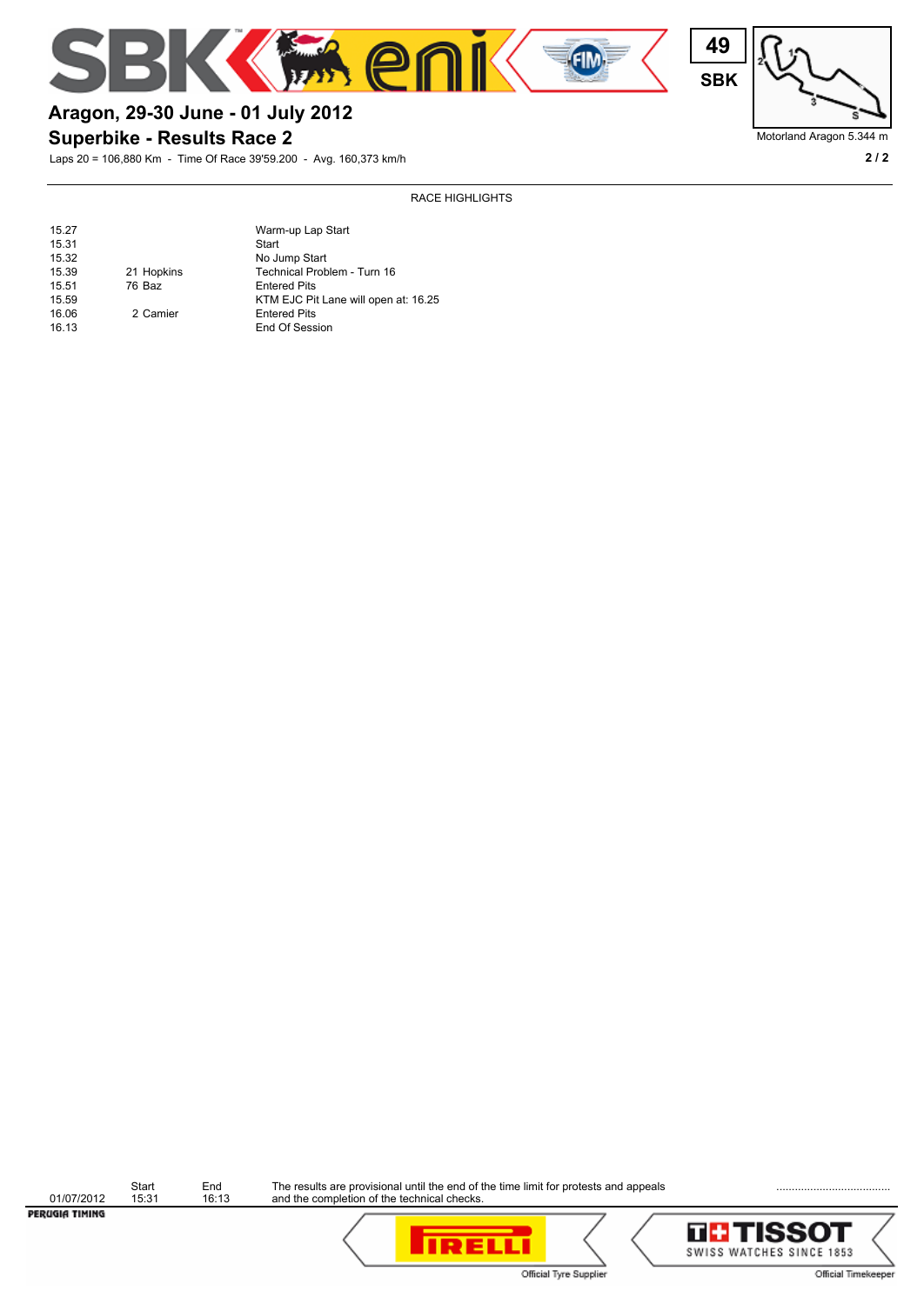



## Motorland Aragon 5.344 m

# **Aragon, 29-30 June - 01 July 2012**

### **Superbike - Results Race 2**

Laps 20 = 106,880 Km - Time Of Race 39'59.200 - Avg. 160,373 km/h **2 / 2**

#### RACE HIGHLIGHTS

| 15.27 |            | Warm-up Lap Start                    |
|-------|------------|--------------------------------------|
| 15.31 |            | Start                                |
| 15.32 |            | No Jump Start                        |
| 15.39 | 21 Hopkins | Technical Problem - Turn 16          |
| 15.51 | 76 Baz     | <b>Entered Pits</b>                  |
| 15.59 |            | KTM EJC Pit Lane will open at: 16.25 |
| 16.06 | 2 Camier   | <b>Entered Pits</b>                  |
| 16.13 |            | End Of Session                       |

| PERUGIA TIMING |                |              |                                                                                                                                     | ---- |
|----------------|----------------|--------------|-------------------------------------------------------------------------------------------------------------------------------------|------|
| 01/07/2012     | Start<br>15:31 | End<br>16:13 | The results are provisional until the end of the time limit for protests and appeals<br>and the completion of the technical checks. |      |



**IRELLI**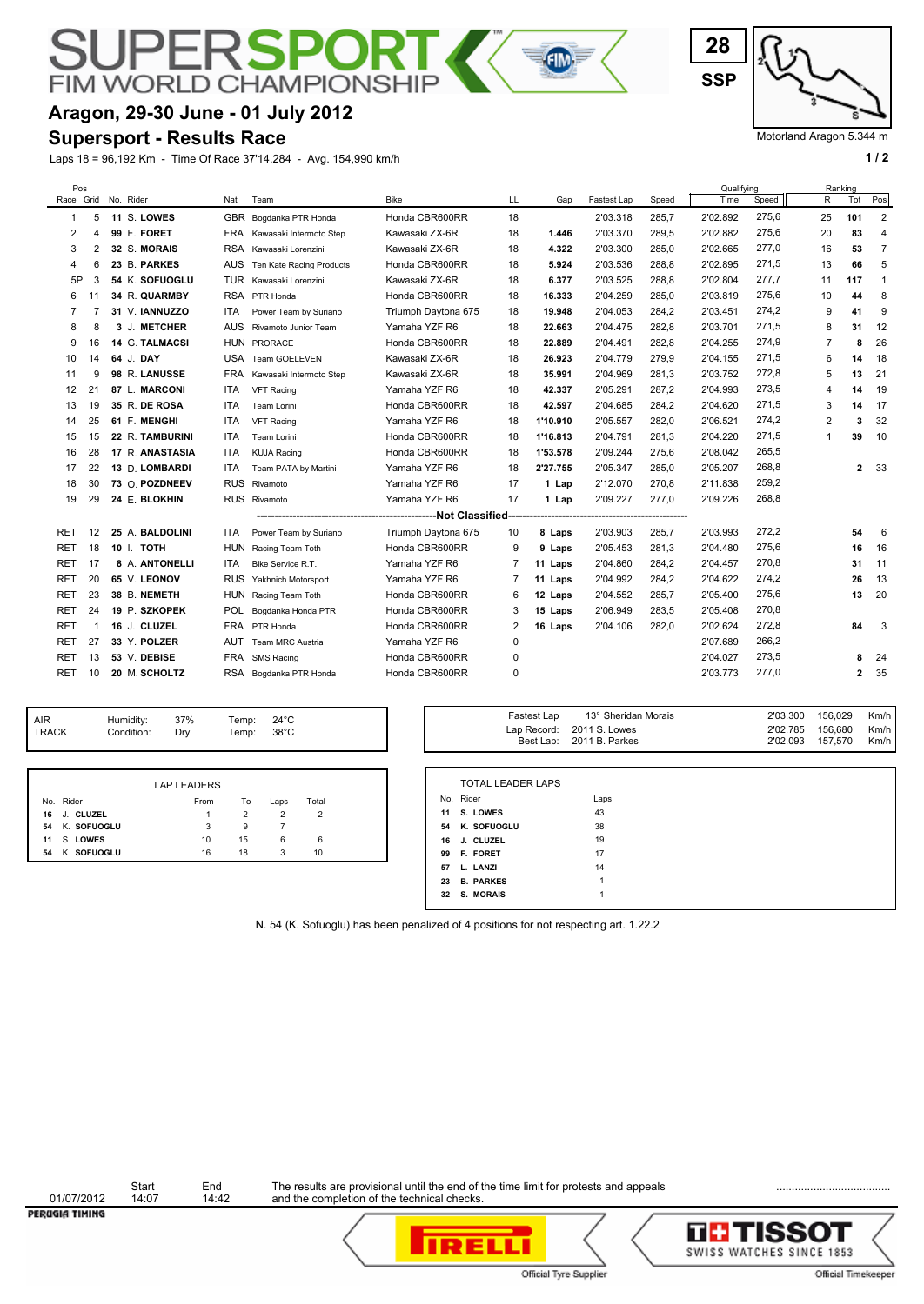# **FIM WORLD CHAMPION**

# **Aragon, 29-30 June - 01 July 2012**

#### **Supersport - Results Race**

Laps 18 = 96,192 Km - Time Of Race 37'14.284 - Avg. 154,990 km/h **1 / 2**

Motorland Aragon 5.344 m

| Pos        |                |                 |            |                          |                     |    |          |             |       | Qualifving |       |                | Ranking      |                         |
|------------|----------------|-----------------|------------|--------------------------|---------------------|----|----------|-------------|-------|------------|-------|----------------|--------------|-------------------------|
| Race Grid  |                | No. Rider       | Nat        | Team                     | <b>Bike</b>         | LL | Gap      | Fastest Lap | Speed | Time       | Speed | R              | Tot          | Pos                     |
| 1          | 5              | 11 S. LOWES     | <b>GBR</b> | Bogdanka PTR Honda       | Honda CBR600RR      | 18 |          | 2'03.318    | 285.7 | 2'02.892   | 275,6 | 25             | 101          | $\overline{2}$          |
| 2          | 4              | 99 F. FORET     | FRA        | Kawasaki Intermoto Step  | Kawasaki ZX-6R      | 18 | 1.446    | 2'03.370    | 289,5 | 2'02.882   | 275,6 | 20             | 83           | 4                       |
| 3          | $\overline{2}$ | 32 S. MORAIS    | RSA        | Kawasaki Lorenzini       | Kawasaki ZX-6R      | 18 | 4.322    | 2'03.300    | 285,0 | 2'02.665   | 277,0 | 16             | 53           | $\overline{7}$          |
| 4          | 6              | 23 B. PARKES    | <b>AUS</b> | Ten Kate Racing Products | Honda CBR600RR      | 18 | 5.924    | 2'03.536    | 288,8 | 2'02.895   | 271,5 | 13             | 66           | 5                       |
| 5P         | 3              | 54 K. SOFUOGLU  | TUR        | Kawasaki Lorenzini       | Kawasaki ZX-6R      | 18 | 6.377    | 2'03.525    | 288,8 | 2'02.804   | 277,7 | 11             | 117          | $\mathbf{1}$            |
| 6          | 11             | 34 R. QUARMBY   |            | RSA PTR Honda            | Honda CBR600RR      | 18 | 16.333   | 2'04.259    | 285.0 | 2'03.819   | 275,6 | 10             | 44           | 8                       |
| 7          |                | 31 V. IANNUZZO  | <b>ITA</b> | Power Team by Suriano    | Triumph Daytona 675 | 18 | 19.948   | 2'04.053    | 284,2 | 2'03.451   | 274,2 | 9              | 41           | 9                       |
| 8          | 8              | 3 J. METCHER    | <b>AUS</b> | Rivamoto Junior Team     | Yamaha YZF R6       | 18 | 22.663   | 2'04.475    | 282,8 | 2'03.701   | 271,5 | 8              | 31           | 12                      |
| 9          | 16             | 14 G. TALMACSI  | <b>HUN</b> | PRORACE                  | Honda CBR600RR      | 18 | 22.889   | 2'04.491    | 282,8 | 2'04.255   | 274,9 | $\overline{7}$ | 8            | 26                      |
| 10         | 14             | 64 J. DAY       | USA        | Team GOELEVEN            | Kawasaki ZX-6R      | 18 | 26.923   | 2'04.779    | 279,9 | 2'04.155   | 271,5 | 6              | 14           | 18                      |
| 11         | 9              | 98 R. LANUSSE   | <b>FRA</b> | Kawasaki Intermoto Step  | Kawasaki ZX-6R      | 18 | 35.991   | 2'04.969    | 281,3 | 2'03.752   | 272,8 | 5              | 13           | 21                      |
| 12         | 21             | 87 L. MARCONI   | <b>ITA</b> | <b>VFT Racing</b>        | Yamaha YZF R6       | 18 | 42.337   | 2'05.291    | 287,2 | 2'04.993   | 273,5 | $\overline{4}$ | 14           | 19                      |
| 13         | 19             | 35 R. DE ROSA   | <b>ITA</b> | <b>Team Lorini</b>       | Honda CBR600RR      | 18 | 42.597   | 2'04.685    | 284.2 | 2'04.620   | 271,5 | 3              | 14           | 17                      |
| 14         | 25             | 61 F. MENGHI    | ITA        | <b>VFT Racing</b>        | Yamaha YZF R6       | 18 | 1'10.910 | 2'05.557    | 282,0 | 2'06.521   | 274,2 | 2              | 3            | 32                      |
| 15         | 15             | 22 R. TAMBURINI | ITA        | <b>Team Lorini</b>       | Honda CBR600RR      | 18 | 1'16.813 | 2'04.791    | 281,3 | 2'04.220   | 271,5 | 1              | 39           | 10                      |
| 16         | 28             | 17 R. ANASTASIA | ITA        | <b>KUJA Racing</b>       | Honda CBR600RR      | 18 | 1'53.578 | 2'09.244    | 275,6 | 2'08.042   | 265,5 |                |              |                         |
| 17         | 22             | 13 D. LOMBARDI  | ITA        | Team PATA by Martini     | Yamaha YZF R6       | 18 | 2'27.755 | 2'05.347    | 285,0 | 2'05.207   | 268,8 |                | $\mathbf{2}$ | 33                      |
| 18         | 30             | 73 O. POZDNEEV  | <b>RUS</b> | Rivamoto                 | Yamaha YZF R6       | 17 | 1 Lap    | 2'12.070    | 270,8 | 2'11.838   | 259,2 |                |              |                         |
| 19         | 29             | 24 E. BLOKHIN   |            | RUS Rivamoto             | Yamaha YZF R6       | 17 | 1 Lap    | 2'09.227    | 277,0 | 2'09.226   | 268,8 |                |              |                         |
|            |                |                 |            |                          |                     |    |          |             |       |            |       |                |              |                         |
| RET        | 12             | 25 A. BALDOLINI | <b>ITA</b> | Power Team by Suriano    | Triumph Daytona 675 | 10 | 8 Laps   | 2'03.903    | 285,7 | 2'03.993   | 272,2 |                | 54           | 6                       |
| RET        | 18             | 10 I. TOTH      | <b>HUN</b> | Racing Team Toth         | Honda CBR600RR      | 9  | 9 Laps   | 2'05.453    | 281,3 | 2'04.480   | 275,6 |                | 16           | 16                      |
| <b>RET</b> | 17             | 8 A. ANTONELLI  | <b>ITA</b> | Bike Service R.T.        | Yamaha YZF R6       | 7  | 11 Laps  | 2'04.860    | 284,2 | 2'04.457   | 270,8 |                | 31           | 11                      |
| <b>RET</b> | 20             | 65 V. LEONOV    | <b>RUS</b> | Yakhnich Motorsport      | Yamaha YZF R6       | 7  | 11 Laps  | 2'04.992    | 284,2 | 2'04.622   | 274,2 |                | 26           | 13                      |
| RET        | 23             | 38 B. NEMETH    | <b>HUN</b> | Racing Team Toth         | Honda CBR600RR      | 6  | 12 Laps  | 2'04.552    | 285,7 | 2'05.400   | 275,6 |                | 13           | 20                      |
| <b>RET</b> | 24             | 19 P. SZKOPEK   | POL        | Bogdanka Honda PTR       | Honda CBR600RR      | 3  | 15 Laps  | 2'06.949    | 283,5 | 2'05.408   | 270,8 |                |              |                         |
| RET        |                | 16 J. CLUZEL    | FRA        | PTR Honda                | Honda CBR600RR      | 2  | 16 Laps  | 2'04.106    | 282,0 | 2'02.624   | 272,8 |                | 84           | $\overline{\mathbf{3}}$ |
| RET        | 27             | 33 Y. POLZER    | AUT        | Team MRC Austria         | Yamaha YZF R6       | 0  |          |             |       | 2'07.689   | 266,2 |                |              |                         |
| <b>RET</b> | 13             | 53 V. DEBISE    | <b>FRA</b> | <b>SMS Racing</b>        | Honda CBR600RR      | 0  |          |             |       | 2'04.027   | 273,5 |                |              | 24                      |
| <b>RET</b> | 10             | 20 M. SCHOLTZ   |            | RSA Bogdanka PTR Honda   | Honda CBR600RR      | 0  |          |             |       | 2'03.773   | 277,0 |                | 2            | 35                      |
|            |                |                 |            |                          |                     |    |          |             |       |            |       |                |              |                         |

E

| <b>AIR</b> | Humidity:  | 37% | Temp: | 24°C           |
|------------|------------|-----|-------|----------------|
| TRACK      | Condition: | Drv | Temp: | $38^{\circ}$ C |
|            |            |     |       |                |

|    |             | LAP LEADERS |    |      |       |  |
|----|-------------|-------------|----|------|-------|--|
|    | No. Rider   | From        | То | Laps | Total |  |
| 16 | J. CLUZEL   |             |    |      |       |  |
| 54 | K. SOFUOGLU | 3           | 9  |      |       |  |
| 11 | S. LOWES    | 10          | 15 | 6    | 6     |  |
| 54 | K. SOFUOGLU | 16          | 18 |      | 10    |  |

| Temp:<br>Temp: | $24^{\circ}$ C | Fastest Lap | 13° Sheridan Morais | 2'03.300 | 156.029 | Km/h |
|----------------|----------------|-------------|---------------------|----------|---------|------|
|                | $38^{\circ}$ C | Lap Record: | 2011 S. Lowes       | 2'02.785 | 156.680 | Km/h |
|                |                | Best Lap:   | 2011 B. Parkes      | 2'02.093 | 157.570 | Km/h |

|    | <b>TOTAL LEADER LAPS</b> |      |
|----|--------------------------|------|
|    | No. Rider                | Laps |
| 11 | S. LOWES                 | 43   |
|    | 54 K. SOFUOGLU           | 38   |
| 16 | <b>J. CLUZEL</b>         | 19   |
| 99 | <b>F. FORET</b>          | 17   |
| 57 | L. LANZI                 | 14   |
| 23 | <b>B. PARKES</b>         | 1    |
|    | 32 S. MORAIS             | 1    |

N. 54 (K. Sofuoglu) has been penalized of 4 positions for not respecting art. 1.22.2

┑



Start End The results are provisional until the end of the time limit for protests and appeals **Endingle Community**